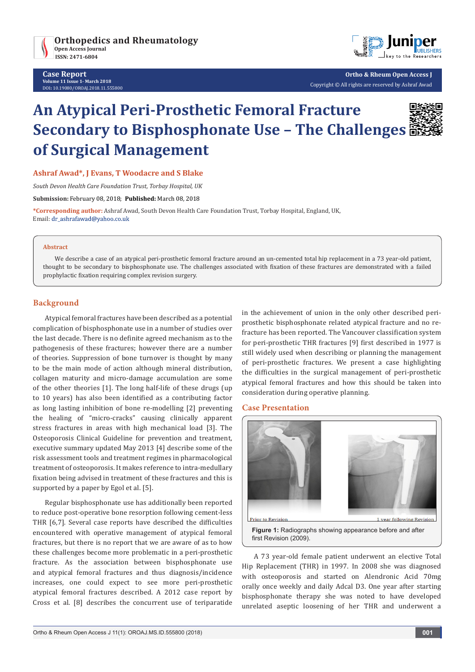

**Case Report Volume 11 Issue 1- March 2018** DOI**:** [10.19080/OROAJ.2018.11.555800](http://dx.doi.org/10.19080/OROAJ.2018.11.555800)



**Ortho & Rheum Open Access J** Copyright © All rights are reserved by Ashraf Awad

# **An Atypical Peri-Prosthetic Femoral Fracture Secondary to Bisphosphonate Use – The Challenges of Surgical Management**



#### **Ashraf Awad\*, J Evans, T Woodacre and S Blake**

*South Devon Health Care Foundation Trust, Torbay Hospital, UK*

**Submission:** February 08, 2018; **Published:** March 08, 2018

**\*Corresponding author:** Ashraf Awad, South Devon Health Care Foundation Trust, Torbay Hospital, England, UK, Email: dr\_ashrafawad@yahoo.co.uk

#### **Abstract**

We describe a case of an atypical peri-prosthetic femoral fracture around an un-cemented total hip replacement in a 73 year-old patient, thought to be secondary to bisphosphonate use. The challenges associated with fixation of these fractures are demonstrated with a failed prophylactic fixation requiring complex revision surgery.

### **Background**

Atypical femoral fractures have been described as a potential complication of bisphosphonate use in a number of studies over the last decade. There is no definite agreed mechanism as to the pathogenesis of these fractures; however there are a number of theories. Suppression of bone turnover is thought by many to be the main mode of action although mineral distribution, collagen maturity and micro-damage accumulation are some of the other theories [1]. The long half-life of these drugs (up to 10 years) has also been identified as a contributing factor as long lasting inhibition of bone re-modelling [2] preventing the healing of "micro-cracks" causing clinically apparent stress fractures in areas with high mechanical load [3]. The Osteoporosis Clinical Guideline for prevention and treatment, executive summary updated May 2013 [4] describe some of the risk assessment tools and treatment regimes in pharmacological treatment of osteoporosis. It makes reference to intra-medullary fixation being advised in treatment of these fractures and this is supported by a paper by Egol et al. [5].

Regular bisphosphonate use has additionally been reported to reduce post-operative bone resorption following cement-less THR [6,7]. Several case reports have described the difficulties encountered with operative management of atypical femoral fractures, but there is no report that we are aware of as to how these challenges become more problematic in a peri-prosthetic fracture. As the association between bisphosphonate use and atypical femoral fractures and thus diagnosis/incidence increases, one could expect to see more peri-prosthetic atypical femoral fractures described. A 2012 case report by Cross et al. [8] describes the concurrent use of teriparatide

in the achievement of union in the only other described periprosthetic bisphosphonate related atypical fracture and no refracture has been reported. The Vancouver classification system for peri-prosthetic THR fractures [9] first described in 1977 is still widely used when describing or planning the management of peri-prosthetic fractures. We present a case highlighting the difficulties in the surgical management of peri-prosthetic atypical femoral fractures and how this should be taken into consideration during operative planning.

#### **Case Presentation**



**Figure 1:** Radiographs showing appearance before and after first Revision (2009).

A 73 year-old female patient underwent an elective Total Hip Replacement (THR) in 1997. In 2008 she was diagnosed with osteoporosis and started on Alendronic Acid 70mg orally once weekly and daily Adcal D3. One year after starting bisphosphonate therapy she was noted to have developed unrelated aseptic loosening of her THR and underwent a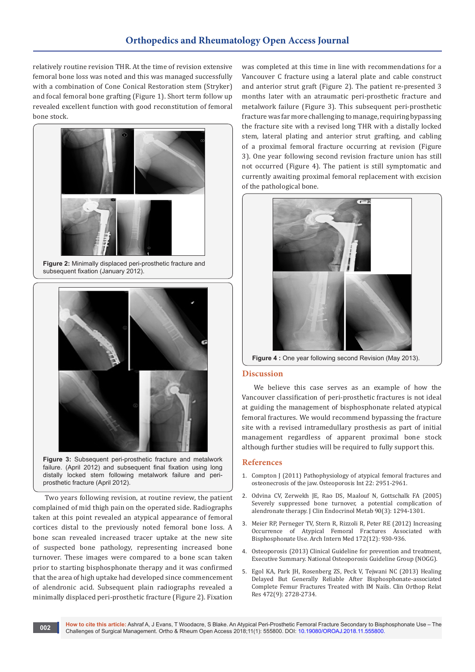relatively routine revision THR. At the time of revision extensive femoral bone loss was noted and this was managed successfully with a combination of Cone Conical Restoration stem (Stryker) and focal femoral bone grafting (Figure 1). Short term follow up revealed excellent function with good reconstitution of femoral bone stock.



**Figure 2:** Minimally displaced peri-prosthetic fracture and subsequent fixation (January 2012).



**Figure 3:** Subsequent peri-prosthetic fracture and metalwork failure. (April 2012) and subsequent final fixation using long distally locked stem following metalwork failure and periprosthetic fracture (April 2012).

Two years following revision, at routine review, the patient complained of mid thigh pain on the operated side. Radiographs taken at this point revealed an atypical appearance of femoral cortices distal to the previously noted femoral bone loss. A bone scan revealed increased tracer uptake at the new site of suspected bone pathology, representing increased bone turnover. These images were compared to a bone scan taken prior to starting bisphosphonate therapy and it was confirmed that the area of high uptake had developed since commencement of alendronic acid. Subsequent plain radiographs revealed a minimally displaced peri-prosthetic fracture (Figure 2). Fixation

was completed at this time in line with recommendations for a Vancouver C fracture using a lateral plate and cable construct and anterior strut graft (Figure 2). The patient re-presented 3 months later with an atraumatic peri-prosthetic fracture and metalwork failure (Figure 3). This subsequent peri-prosthetic fracture was far more challenging to manage, requiring bypassing the fracture site with a revised long THR with a distally locked stem, lateral plating and anterior strut grafting, and cabling of a proximal femoral fracture occurring at revision (Figure 3). One year following second revision fracture union has still not occurred (Figure 4). The patient is still symptomatic and currently awaiting proximal femoral replacement with excision of the pathological bone.



**Figure 4 :** One year following second Revision (May 2013).

#### **Discussion**

We believe this case serves as an example of how the Vancouver classification of peri-prosthetic fractures is not ideal at guiding the management of bisphosphonate related atypical femoral fractures. We would recommend bypassing the fracture site with a revised intramedullary prosthesis as part of initial management regardless of apparent proximal bone stock although further studies will be required to fully support this.

#### **References**

- 1. [Compton J \(2011\) Pathophysiology of atypical femoral fractures and](https://www.ncbi.nlm.nih.gov/pubmed/21997225)  [osteonecrosis of the jaw. Osteoporosis Int 22: 2951-2961.](https://www.ncbi.nlm.nih.gov/pubmed/21997225)
- 2. [Odvina CV, Zerwekh JE, Rao DS, Maalouf N, Gottschalk FA \(2005\)](https://www.ncbi.nlm.nih.gov/pubmed/15598694)  [Severely suppressed bone turnover, a potential complication of](https://www.ncbi.nlm.nih.gov/pubmed/15598694)  [alendronate therapy. J Clin Endocrinol Metab 90\(3\): 1294-1301.](https://www.ncbi.nlm.nih.gov/pubmed/15598694)
- 3. [Meier RP, Perneger TV, Stern R, Rizzoli R, Peter RE \(2012\) Increasing](https://www.ncbi.nlm.nih.gov/pubmed/22732749)  [Occurrence of Atypical Femoral Fractures Associated with](https://www.ncbi.nlm.nih.gov/pubmed/22732749)  [Bisphosphonate Use. Arch Intern Med 172\(12\): 930-936.](https://www.ncbi.nlm.nih.gov/pubmed/22732749)
- 4. [Osteoporosis \(2013\) Clinical Guideline for prevention and treatment,](https://www.sheffield.ac.uk/NOGG/NOGG_Pocket_Guide_for_Healthcare_Professionals.pdf)  [Executive Summary. National Osteoporosis Guideline Group \(NOGG\).](https://www.sheffield.ac.uk/NOGG/NOGG_Pocket_Guide_for_Healthcare_Professionals.pdf)
- 5. [Egol KA, Park JH, Rosenberg ZS, Peck V, Tejwani NC \(2013\) Healing](https://www.ncbi.nlm.nih.gov/pubmed/23604648)  [Delayed But Generally Reliable After Bisphosphonate-associated](https://www.ncbi.nlm.nih.gov/pubmed/23604648)  [Complete Femur Fractures Treated with IM Nails. Clin Orthop Relat](https://www.ncbi.nlm.nih.gov/pubmed/23604648)  [Res 472\(9\): 2728-2734.](https://www.ncbi.nlm.nih.gov/pubmed/23604648)

**How to cite this article:** Ashraf A, J Evans, T Woodacre, S Blake. An Atypical Peri-Prosthetic Femoral Fracture Secondary to Bisphosphonate Use – The Challenges of Surgical Management. Ortho & Rheum Open Access 2018;11(1): 555800. DOI: [10.19080/OROAJ.2018.11.555800.](http://dx.doi.org/10.19080/OROAJ.2018.11.555800) **<sup>002</sup>**